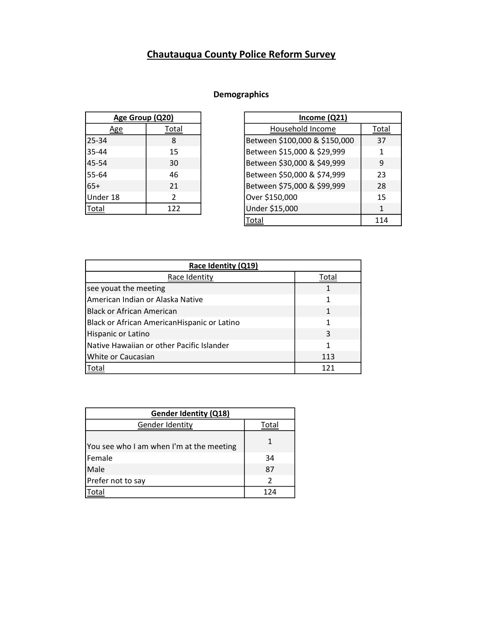## Chautauqua County Police Reform Survey

## Demographics

| Age Group (Q20) |       |
|-----------------|-------|
| ιge             | Total |
| 25-34           | 8     |
| 35-44           | 15    |
| 45-54           | 30    |
| 55-64           | 46    |
| $65+$           | 21    |
| Under 18        | 2     |
| Total           | 122   |

| Age Group (Q20) |       | Income (Q21)                  |              |
|-----------------|-------|-------------------------------|--------------|
| <u>Age</u>      | Total | Household Income              | Total        |
| 25-34           | 8     | Between \$100,000 & \$150,000 | 37           |
| 35-44           | 15    | Between \$15,000 & \$29,999   | 1            |
| 45-54           | 30    | Between \$30,000 & \$49,999   | 9            |
| 55-64           | 46    | Between \$50,000 & \$74,999   | 23           |
| $65+$           | 21    | Between \$75,000 & \$99,999   | 28           |
| Under 18        | 2     | Over \$150,000                | 15           |
| Total           | 122   | Under \$15,000                | $\mathbf{1}$ |
|                 |       | Total                         | 114          |

| Race Identity (Q19)                         |       |  |
|---------------------------------------------|-------|--|
| Race Identity                               | Total |  |
| see youat the meeting                       | 1     |  |
| American Indian or Alaska Native            | 1     |  |
| <b>Black or African American</b>            | 1     |  |
| Black or African AmericanHispanic or Latino | 1     |  |
| Hispanic or Latino                          | 3     |  |
| Native Hawaiian or other Pacific Islander   | 1     |  |
| White or Caucasian                          | 113   |  |
| Total                                       | 121   |  |

| <b>Gender Identity (Q18)</b>             |               |  |
|------------------------------------------|---------------|--|
| Gender Identity                          | Total         |  |
| You see who I am when I'm at the meeting | 1             |  |
| Female                                   | 34            |  |
| Male                                     | 87            |  |
| Prefer not to say                        | $\mathcal{P}$ |  |
|                                          | 124           |  |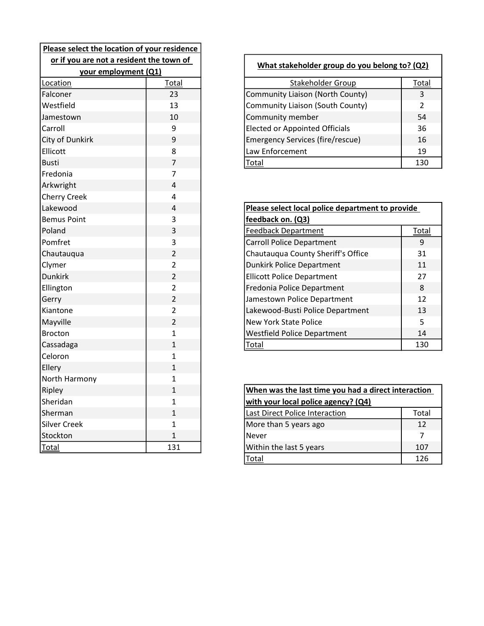| Please select the location of your residence |                |  |
|----------------------------------------------|----------------|--|
| or if you are not a resident the town of     |                |  |
| your employment (Q1)                         |                |  |
| Location                                     | Total          |  |
| Falconer                                     | 23             |  |
| Westfield                                    | 13             |  |
| Jamestown                                    | 10             |  |
| Carroll                                      | 9              |  |
| City of Dunkirk                              | 9              |  |
| Ellicott                                     | 8              |  |
| <b>Busti</b>                                 | $\overline{7}$ |  |
| Fredonia                                     | 7              |  |
| Arkwright                                    | 4              |  |
| <b>Cherry Creek</b>                          | 4              |  |
| Lakewood                                     | 4              |  |
| <b>Bemus Point</b>                           | 3              |  |
| Poland                                       | 3              |  |
| Pomfret                                      | 3              |  |
| Chautauqua                                   | $\overline{2}$ |  |
| Clymer                                       | $\overline{2}$ |  |
| <b>Dunkirk</b>                               | $\overline{2}$ |  |
| Ellington                                    | $\overline{2}$ |  |
| Gerry                                        | $\overline{2}$ |  |
| Kiantone                                     | $\overline{2}$ |  |
| Mayville                                     | $\overline{2}$ |  |
| <b>Brocton</b>                               | 1              |  |
| Cassadaga                                    | $\overline{1}$ |  |
| Celoron                                      | 1              |  |
| Ellery                                       | $\overline{1}$ |  |
| North Harmony                                | $\overline{1}$ |  |
| Ripley                                       | $\overline{1}$ |  |
| Sheridan                                     | $\overline{1}$ |  |
| Sherman                                      | $\overline{1}$ |  |
| <b>Silver Creek</b>                          | $\overline{1}$ |  |
| Stockton                                     | 1              |  |
| <b>Total</b>                                 | 131            |  |

| own of |                                         | What stakeholder group do you belong to? (Q2) |  |
|--------|-----------------------------------------|-----------------------------------------------|--|
| Total  | Stakeholder Group                       | Total                                         |  |
| 23     | Community Liaison (North County)        | 3                                             |  |
| 13     | Community Liaison (South County)        | $\mathfrak z$                                 |  |
| 10     | Community member                        | 54                                            |  |
| 9      | <b>Elected or Appointed Officials</b>   | 36                                            |  |
| 9      | <b>Emergency Services (fire/rescue)</b> | 16                                            |  |
| 8      | Law Enforcement                         | 19                                            |  |
|        | Total                                   | 130                                           |  |
|        |                                         |                                               |  |

| Please select local police department to provide |       |
|--------------------------------------------------|-------|
| feedback on. (Q3)                                |       |
| Feedback Department                              | Total |
| <b>Carroll Police Department</b>                 | 9     |
| Chautauqua County Sheriff's Office               | 31    |
| <b>Dunkirk Police Department</b>                 | 11    |
| <b>Ellicott Police Department</b>                | 27    |
| Fredonia Police Department                       | 8     |
| Jamestown Police Department                      | 12    |
| Lakewood-Busti Police Department                 | 13    |
| <b>New York State Police</b>                     | 5     |
| <b>Westfield Police Department</b>               | 14    |
| Total                                            | 130   |

|     | When was the last time you had a direct interaction |       |
|-----|-----------------------------------------------------|-------|
|     | with your local police agency? (Q4)                 |       |
|     | <b>Last Direct Police Interaction</b>               | Total |
|     | More than 5 years ago                               | 12    |
|     | l Never                                             |       |
| 131 | Within the last 5 years                             | 107   |
|     |                                                     | 126   |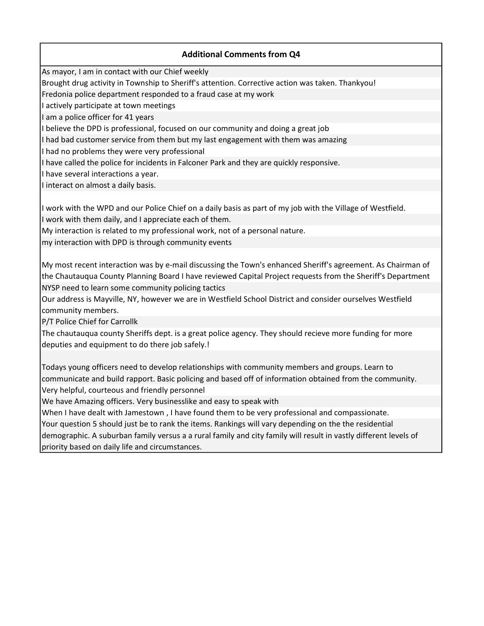## Additional Comments from Q4

As mayor, I am in contact with our Chief weekly

Brought drug activity in Township to Sheriff's attention. Corrective action was taken. Thankyou!

Fredonia police department responded to a fraud case at my work

I actively participate at town meetings

I am a police officer for 41 years

I believe the DPD is professional, focused on our community and doing a great job

I had bad customer service from them but my last engagement with them was amazing

I had no problems they were very professional

I have called the police for incidents in Falconer Park and they are quickly responsive.

I have several interactions a year.

I interact on almost a daily basis.

I work with the WPD and our Police Chief on a daily basis as part of my job with the Village of Westfield. I work with them daily, and I appreciate each of them.

My interaction is related to my professional work, not of a personal nature.

my interaction with DPD is through community events

My most recent interaction was by e-mail discussing the Town's enhanced Sheriff's agreement. As Chairman of the Chautauqua County Planning Board I have reviewed Capital Project requests from the Sheriff's Department NYSP need to learn some community policing tactics

Our address is Mayville, NY, however we are in Westfield School District and consider ourselves Westfield community members.

P/T Police Chief for Carrollk

The chautauqua county Sheriffs dept. is a great police agency. They should recieve more funding for more deputies and equipment to do there job safely.!

Very helpful, courteous and friendly personnel Todays young officers need to develop relationships with community members and groups. Learn to communicate and build rapport. Basic policing and based off of information obtained from the community.

We have Amazing officers. Very businesslike and easy to speak with

Your question 5 should just be to rank the items. Rankings will vary depending on the the residential demographic. A suburban family versus a a rural family and city family will result in vastly different levels of priority based on daily life and circumstances. When I have dealt with Jamestown , I have found them to be very professional and compassionate.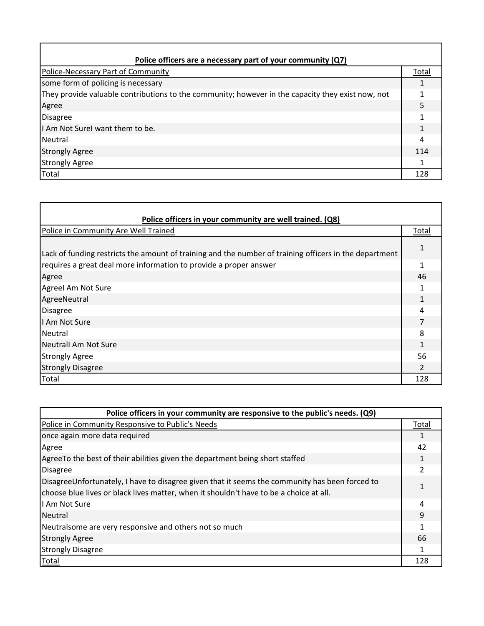| Police officers are a necessary part of your community (Q7)                                       |       |  |
|---------------------------------------------------------------------------------------------------|-------|--|
| Police-Necessary Part of Community                                                                | Total |  |
| some form of policing is necessary                                                                |       |  |
| They provide valuable contributions to the community; however in the capacity they exist now, not |       |  |
| Agree                                                                                             |       |  |
| Disagree                                                                                          |       |  |
| II Am Not Surel want them to be.                                                                  |       |  |
| l Neutral                                                                                         |       |  |
| Strongly Agree                                                                                    | 114   |  |
| Strongly Agree                                                                                    |       |  |
| Total                                                                                             | 128   |  |

| Police officers in your community are well trained. (Q8)                                               |       |  |
|--------------------------------------------------------------------------------------------------------|-------|--|
| Police in Community Are Well Trained                                                                   | Total |  |
| Lack of funding restricts the amount of training and the number of training officers in the department |       |  |
| requires a great deal more information to provide a proper answer                                      |       |  |
| Agree                                                                                                  | 46    |  |
| Agreel Am Not Sure                                                                                     |       |  |
| AgreeNeutral                                                                                           |       |  |
| Disagree                                                                                               |       |  |
| I Am Not Sure                                                                                          |       |  |
| <b>INeutral</b>                                                                                        |       |  |
| Neutrall Am Not Sure                                                                                   |       |  |
| Strongly Agree                                                                                         | 56    |  |
| <b>Strongly Disagree</b>                                                                               |       |  |
| <b>Total</b>                                                                                           | 128   |  |

| Police officers in your community are responsive to the public's needs. (Q9)                   |       |  |
|------------------------------------------------------------------------------------------------|-------|--|
| Police in Community Responsive to Public's Needs                                               | Total |  |
| once again more data required                                                                  |       |  |
| Agree                                                                                          | 42    |  |
| AgreeTo the best of their abilities given the department being short staffed                   |       |  |
| <b>Disagree</b>                                                                                |       |  |
| DisagreeUnfortunately, I have to disagree given that it seems the community has been forced to |       |  |
| choose blue lives or black lives matter, when it shouldn't have to be a choice at all.         |       |  |
| I Am Not Sure                                                                                  |       |  |
| <b>Neutral</b>                                                                                 | q     |  |
| Neutralsome are very responsive and others not so much                                         |       |  |
| <b>Strongly Agree</b>                                                                          | 66    |  |
| <b>Strongly Disagree</b>                                                                       |       |  |
| <b>Total</b>                                                                                   | 128   |  |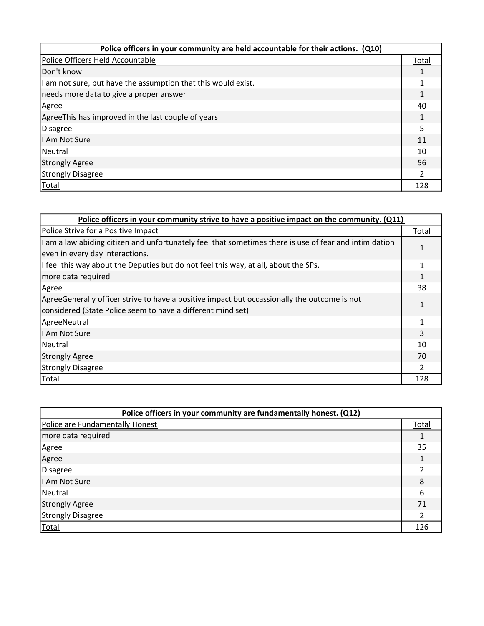| Police officers in your community are held accountable for their actions. (Q10) |       |  |
|---------------------------------------------------------------------------------|-------|--|
| Police Officers Held Accountable                                                | Total |  |
| Don't know                                                                      |       |  |
| I am not sure, but have the assumption that this would exist.                   |       |  |
| needs more data to give a proper answer                                         |       |  |
| Agree                                                                           | 40    |  |
| AgreeThis has improved in the last couple of years                              |       |  |
| <b>Disagree</b>                                                                 |       |  |
| I Am Not Sure                                                                   | 11    |  |
| l Neutral                                                                       | 10    |  |
| Strongly Agree                                                                  | 56    |  |
| <b>Strongly Disagree</b>                                                        |       |  |
| <b>Total</b>                                                                    | 128   |  |

| Police officers in your community strive to have a positive impact on the community. (Q11)             |       |  |
|--------------------------------------------------------------------------------------------------------|-------|--|
| Police Strive for a Positive Impact                                                                    | Total |  |
| I am a law abiding citizen and unfortunately feel that sometimes there is use of fear and intimidation |       |  |
| even in every day interactions.                                                                        |       |  |
| If feel this way about the Deputies but do not feel this way, at all, about the SPs.                   |       |  |
| more data required                                                                                     |       |  |
| Agree                                                                                                  | 38    |  |
| AgreeGenerally officer strive to have a positive impact but occassionally the outcome is not           |       |  |
| considered (State Police seem to have a different mind set)                                            |       |  |
| AgreeNeutral                                                                                           |       |  |
| I Am Not Sure                                                                                          | 3     |  |
| l Neutral                                                                                              | 10    |  |
| <b>Strongly Agree</b>                                                                                  | 70    |  |
| <b>Strongly Disagree</b>                                                                               |       |  |
| Total                                                                                                  | 128   |  |

| Police officers in your community are fundamentally honest. (Q12) |              |  |
|-------------------------------------------------------------------|--------------|--|
| Police are Fundamentally Honest                                   | <b>Total</b> |  |
| more data required                                                |              |  |
| Agree                                                             | 35           |  |
| Agree                                                             |              |  |
| Disagree                                                          |              |  |
| I Am Not Sure                                                     | 8            |  |
| Neutral                                                           | 6            |  |
| <b>Strongly Agree</b>                                             | 71           |  |
| Strongly Disagree                                                 |              |  |
| <b>Total</b>                                                      | 126          |  |